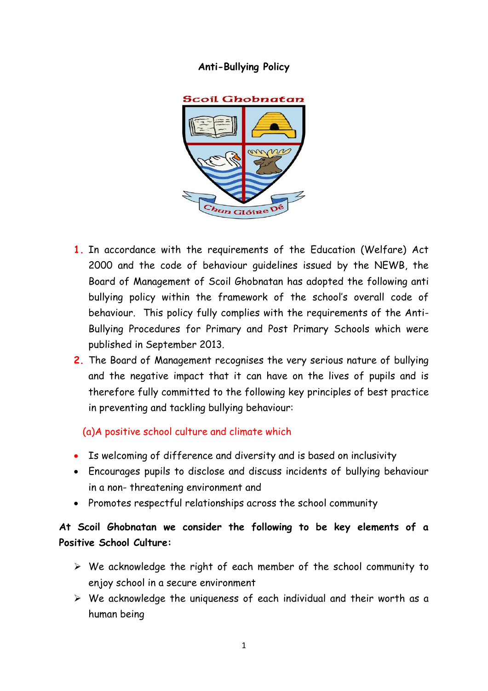## **Anti-Bullying Policy**



- **1.** In accordance with the requirements of the Education (Welfare) Act 2000 and the code of behaviour guidelines issued by the NEWB, the Board of Management of Scoil Ghobnatan has adopted the following anti bullying policy within the framework of the school's overall code of behaviour. This policy fully complies with the requirements of the Anti-Bullying Procedures for Primary and Post Primary Schools which were published in September 2013.
- **2.** The Board of Management recognises the very serious nature of bullying and the negative impact that it can have on the lives of pupils and is therefore fully committed to the following key principles of best practice in preventing and tackling bullying behaviour:

## (a)A positive school culture and climate which

- Is welcoming of difference and diversity and is based on inclusivity
- Encourages pupils to disclose and discuss incidents of bullying behaviour in a non- threatening environment and
- Promotes respectful relationships across the school community

# **At Scoil Ghobnatan we consider the following to be key elements of a Positive School Culture:**

- ➢ We acknowledge the right of each member of the school community to enjoy school in a secure environment
- ➢ We acknowledge the uniqueness of each individual and their worth as a human being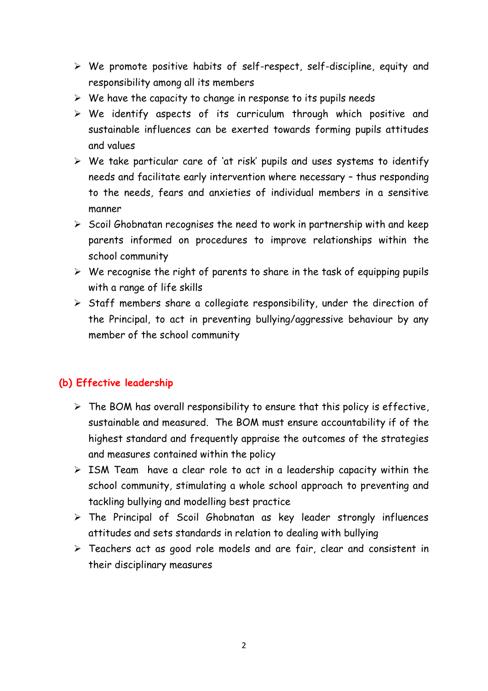- ➢ We promote positive habits of self-respect, self-discipline, equity and responsibility among all its members
- $\triangleright$  We have the capacity to change in response to its pupils needs
- ➢ We identify aspects of its curriculum through which positive and sustainable influences can be exerted towards forming pupils attitudes and values
- ➢ We take particular care of 'at risk' pupils and uses systems to identify needs and facilitate early intervention where necessary – thus responding to the needs, fears and anxieties of individual members in a sensitive manner
- $\triangleright$  Scoil Ghobnatan recognises the need to work in partnership with and keep parents informed on procedures to improve relationships within the school community
- $\triangleright$  We recognise the right of parents to share in the task of equipping pupils with a range of life skills
- ➢ Staff members share a collegiate responsibility, under the direction of the Principal, to act in preventing bullying/aggressive behaviour by any member of the school community

## **(b) Effective leadership**

- $\triangleright$  The BOM has overall responsibility to ensure that this policy is effective, sustainable and measured. The BOM must ensure accountability if of the highest standard and frequently appraise the outcomes of the strategies and measures contained within the policy
- ➢ ISM Team have a clear role to act in a leadership capacity within the school community, stimulating a whole school approach to preventing and tackling bullying and modelling best practice
- ➢ The Principal of Scoil Ghobnatan as key leader strongly influences attitudes and sets standards in relation to dealing with bullying
- ➢ Teachers act as good role models and are fair, clear and consistent in their disciplinary measures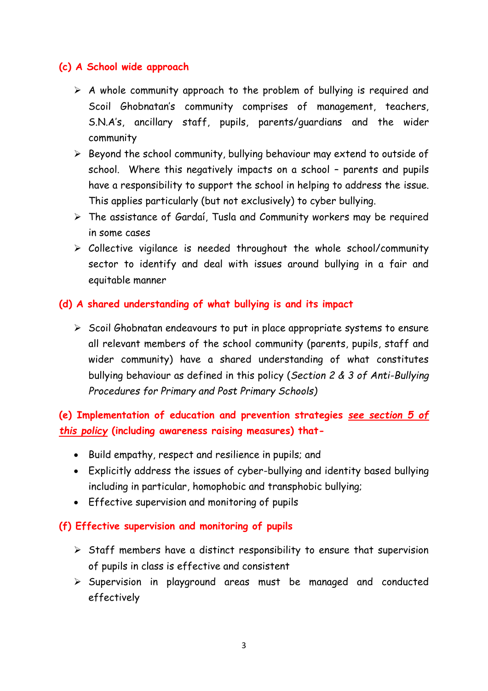## **(c) A School wide approach**

- $\triangleright$  A whole community approach to the problem of bullying is required and Scoil Ghobnatan's community comprises of management, teachers, S.N.A's, ancillary staff, pupils, parents/guardians and the wider community
- ➢ Beyond the school community, bullying behaviour may extend to outside of school. Where this negatively impacts on a school – parents and pupils have a responsibility to support the school in helping to address the issue. This applies particularly (but not exclusively) to cyber bullying.
- ➢ The assistance of Gardaí, Tusla and Community workers may be required in some cases
- ➢ Collective vigilance is needed throughout the whole school/community sector to identify and deal with issues around bullying in a fair and equitable manner

### **(d) A shared understanding of what bullying is and its impact**

➢ Scoil Ghobnatan endeavours to put in place appropriate systems to ensure all relevant members of the school community (parents, pupils, staff and wider community) have a shared understanding of what constitutes bullying behaviour as defined in this policy (*Section 2 & 3 of Anti-Bullying Procedures for Primary and Post Primary Schools)*

**(e) Implementation of education and prevention strategies** *see section 5 of this policy* **(including awareness raising measures) that-**

- Build empathy, respect and resilience in pupils; and
- Explicitly address the issues of cyber-bullying and identity based bullying including in particular, homophobic and transphobic bullying;
- Effective supervision and monitoring of pupils

## **(f) Effective supervision and monitoring of pupils**

- $\triangleright$  Staff members have a distinct responsibility to ensure that supervision of pupils in class is effective and consistent
- ➢ Supervision in playground areas must be managed and conducted effectively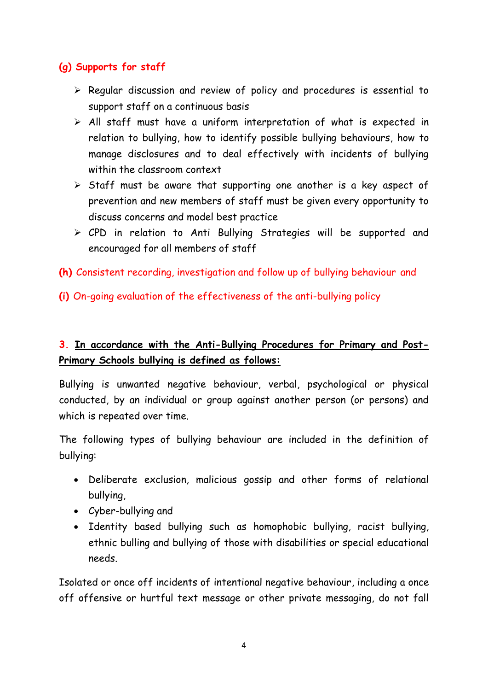## **(g) Supports for staff**

- ➢ Regular discussion and review of policy and procedures is essential to support staff on a continuous basis
- ➢ All staff must have a uniform interpretation of what is expected in relation to bullying, how to identify possible bullying behaviours, how to manage disclosures and to deal effectively with incidents of bullying within the classroom context
- ➢ Staff must be aware that supporting one another is a key aspect of prevention and new members of staff must be given every opportunity to discuss concerns and model best practice
- ➢ CPD in relation to Anti Bullying Strategies will be supported and encouraged for all members of staff
- **(h)** Consistent recording, investigation and follow up of bullying behaviour and
- **(i)** On-going evaluation of the effectiveness of the anti-bullying policy

# **3. In accordance with the Anti-Bullying Procedures for Primary and Post-Primary Schools bullying is defined as follows:**

Bullying is unwanted negative behaviour, verbal, psychological or physical conducted, by an individual or group against another person (or persons) and which is repeated over time.

The following types of bullying behaviour are included in the definition of bullying:

- Deliberate exclusion, malicious gossip and other forms of relational bullying,
- Cyber-bullying and
- Identity based bullying such as homophobic bullying, racist bullying, ethnic bulling and bullying of those with disabilities or special educational needs.

Isolated or once off incidents of intentional negative behaviour, including a once off offensive or hurtful text message or other private messaging, do not fall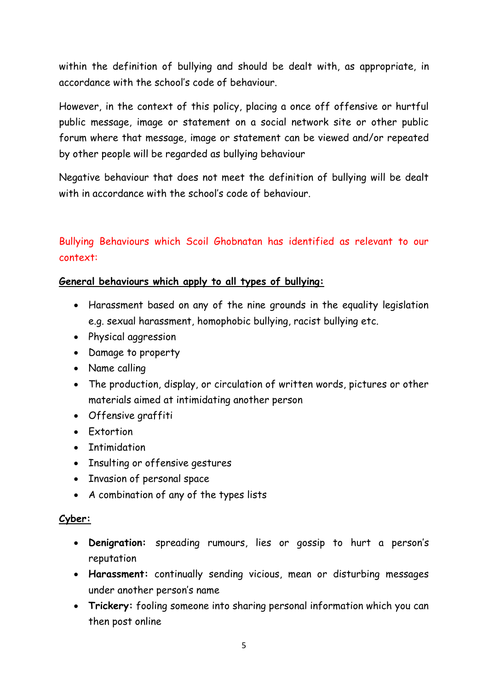within the definition of bullying and should be dealt with, as appropriate, in accordance with the school's code of behaviour.

However, in the context of this policy, placing a once off offensive or hurtful public message, image or statement on a social network site or other public forum where that message, image or statement can be viewed and/or repeated by other people will be regarded as bullying behaviour

Negative behaviour that does not meet the definition of bullying will be dealt with in accordance with the school's code of behaviour.

# Bullying Behaviours which Scoil Ghobnatan has identified as relevant to our context:

### **General behaviours which apply to all types of bullying:**

- Harassment based on any of the nine grounds in the equality legislation e.g. sexual harassment, homophobic bullying, racist bullying etc.
- Physical aggression
- Damage to property
- Name calling
- The production, display, or circulation of written words, pictures or other materials aimed at intimidating another person
- Offensive graffiti
- Extortion
- Intimidation
- Insulting or offensive gestures
- Invasion of personal space
- A combination of any of the types lists

#### **Cyber:**

- **Denigration:** spreading rumours, lies or gossip to hurt a person's reputation
- **Harassment:** continually sending vicious, mean or disturbing messages under another person's name
- **Trickery:** fooling someone into sharing personal information which you can then post online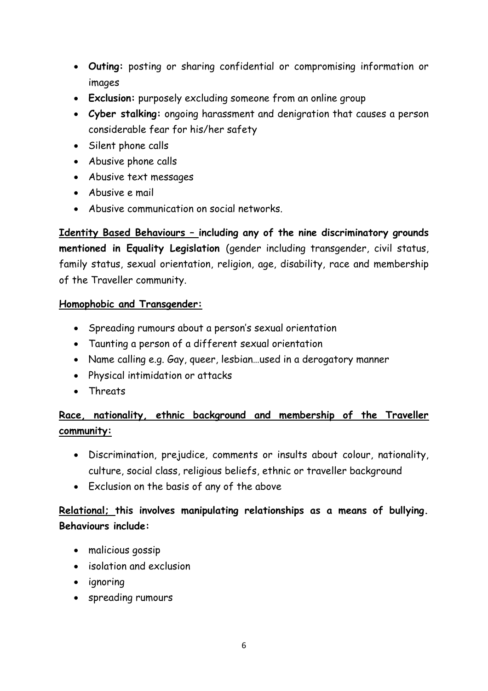- **Outing:** posting or sharing confidential or compromising information or images
- **Exclusion:** purposely excluding someone from an online group
- **Cyber stalking:** ongoing harassment and denigration that causes a person considerable fear for his/her safety
- Silent phone calls
- Abusive phone calls
- Abusive text messages
- Abusive e mail
- Abusive communication on social networks.

**Identity Based Behaviours – including any of the nine discriminatory grounds mentioned in Equality Legislation** (gender including transgender, civil status, family status, sexual orientation, religion, age, disability, race and membership of the Traveller community.

## **Homophobic and Transgender:**

- Spreading rumours about a person's sexual orientation
- Taunting a person of a different sexual orientation
- Name calling e.g. Gay, queer, lesbian…used in a derogatory manner
- Physical intimidation or attacks
- Threats

# **Race, nationality, ethnic background and membership of the Traveller community:**

- Discrimination, prejudice, comments or insults about colour, nationality, culture, social class, religious beliefs, ethnic or traveller background
- Exclusion on the basis of any of the above

## **Relational; this involves manipulating relationships as a means of bullying. Behaviours include:**

- malicious gossip
- isolation and exclusion
- ignoring
- spreading rumours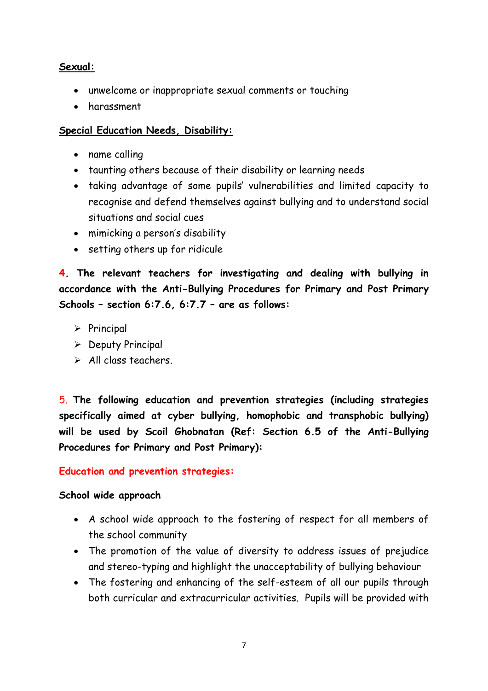### **Sexual:**

- unwelcome or inappropriate sexual comments or touching
- harassment

### **Special Education Needs, Disability:**

- name calling
- taunting others because of their disability or learning needs
- taking advantage of some pupils' vulnerabilities and limited capacity to recognise and defend themselves against bullying and to understand social situations and social cues
- mimicking a person's disability
- setting others up for ridicule

**4. The relevant teachers for investigating and dealing with bullying in accordance with the Anti-Bullying Procedures for Primary and Post Primary Schools – section 6:7.6, 6:7.7 – are as follows:**

- ➢ Principal
- ➢ Deputy Principal
- $\triangleright$  All class teachers.

5. **The following education and prevention strategies (including strategies specifically aimed at cyber bullying, homophobic and transphobic bullying) will be used by Scoil Ghobnatan (Ref: Section 6.5 of the Anti-Bullying Procedures for Primary and Post Primary):**

#### **Education and prevention strategies:**

#### **School wide approach**

- A school wide approach to the fostering of respect for all members of the school community
- The promotion of the value of diversity to address issues of prejudice and stereo-typing and highlight the unacceptability of bullying behaviour
- The fostering and enhancing of the self-esteem of all our pupils through both curricular and extracurricular activities. Pupils will be provided with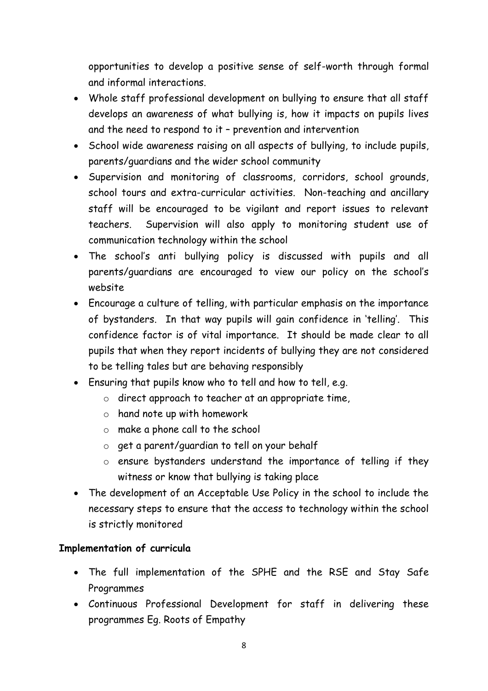opportunities to develop a positive sense of self-worth through formal and informal interactions.

- Whole staff professional development on bullying to ensure that all staff develops an awareness of what bullying is, how it impacts on pupils lives and the need to respond to it – prevention and intervention
- School wide awareness raising on all aspects of bullying, to include pupils, parents/guardians and the wider school community
- Supervision and monitoring of classrooms, corridors, school grounds, school tours and extra-curricular activities. Non-teaching and ancillary staff will be encouraged to be vigilant and report issues to relevant teachers. Supervision will also apply to monitoring student use of communication technology within the school
- The school's anti bullying policy is discussed with pupils and all parents/guardians are encouraged to view our policy on the school's website
- Encourage a culture of telling, with particular emphasis on the importance of bystanders. In that way pupils will gain confidence in 'telling'. This confidence factor is of vital importance. It should be made clear to all pupils that when they report incidents of bullying they are not considered to be telling tales but are behaving responsibly
- Ensuring that pupils know who to tell and how to tell, e.g.
	- o direct approach to teacher at an appropriate time,
	- o hand note up with homework
	- o make a phone call to the school
	- o get a parent/guardian to tell on your behalf
	- o ensure bystanders understand the importance of telling if they witness or know that bullying is taking place
- The development of an Acceptable Use Policy in the school to include the necessary steps to ensure that the access to technology within the school is strictly monitored

## **Implementation of curricula**

- The full implementation of the SPHE and the RSE and Stay Safe Programmes
- Continuous Professional Development for staff in delivering these programmes Eg. Roots of Empathy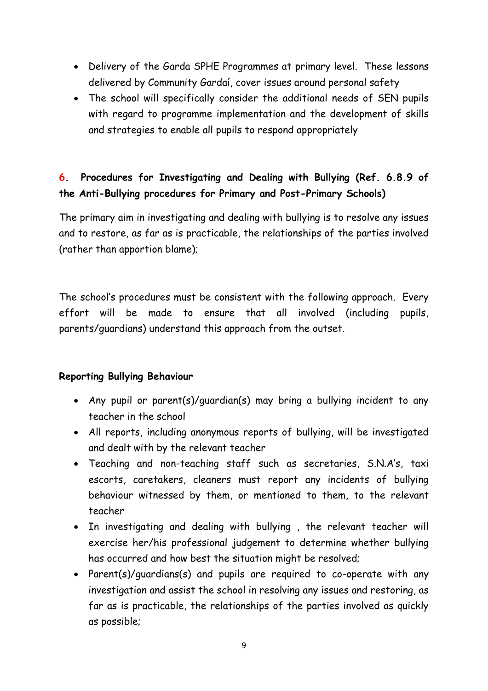- Delivery of the Garda SPHE Programmes at primary level. These lessons delivered by Community Gardaí, cover issues around personal safety
- The school will specifically consider the additional needs of SEN pupils with regard to programme implementation and the development of skills and strategies to enable all pupils to respond appropriately

# **6. Procedures for Investigating and Dealing with Bullying (Ref. 6.8.9 of the Anti-Bullying procedures for Primary and Post-Primary Schools)**

The primary aim in investigating and dealing with bullying is to resolve any issues and to restore, as far as is practicable, the relationships of the parties involved (rather than apportion blame);

The school's procedures must be consistent with the following approach. Every effort will be made to ensure that all involved (including pupils, parents/guardians) understand this approach from the outset.

## **Reporting Bullying Behaviour**

- Any pupil or parent(s)/guardian(s) may bring a bullying incident to any teacher in the school
- All reports, including anonymous reports of bullying, will be investigated and dealt with by the relevant teacher
- Teaching and non-teaching staff such as secretaries, S.N.A's, taxi escorts, caretakers, cleaners must report any incidents of bullying behaviour witnessed by them, or mentioned to them, to the relevant teacher
- In investigating and dealing with bullying , the relevant teacher will exercise her/his professional judgement to determine whether bullying has occurred and how best the situation might be resolved;
- Parent(s)/guardians(s) and pupils are required to co-operate with any investigation and assist the school in resolving any issues and restoring, as far as is practicable, the relationships of the parties involved as quickly as possible;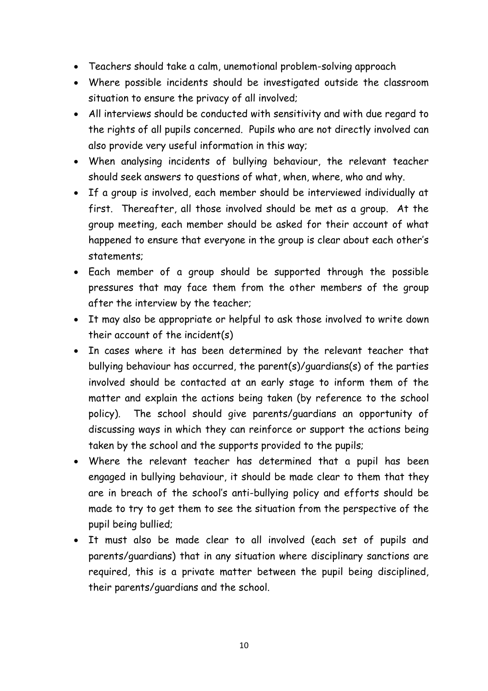- Teachers should take a calm, unemotional problem-solving approach
- Where possible incidents should be investigated outside the classroom situation to ensure the privacy of all involved;
- All interviews should be conducted with sensitivity and with due regard to the rights of all pupils concerned. Pupils who are not directly involved can also provide very useful information in this way;
- When analysing incidents of bullying behaviour, the relevant teacher should seek answers to questions of what, when, where, who and why.
- If a group is involved, each member should be interviewed individually at first. Thereafter, all those involved should be met as a group. At the group meeting, each member should be asked for their account of what happened to ensure that everyone in the group is clear about each other's statements;
- Each member of a group should be supported through the possible pressures that may face them from the other members of the group after the interview by the teacher;
- It may also be appropriate or helpful to ask those involved to write down their account of the incident(s)
- In cases where it has been determined by the relevant teacher that bullying behaviour has occurred, the parent(s)/guardians(s) of the parties involved should be contacted at an early stage to inform them of the matter and explain the actions being taken (by reference to the school policy). The school should give parents/guardians an opportunity of discussing ways in which they can reinforce or support the actions being taken by the school and the supports provided to the pupils;
- Where the relevant teacher has determined that a pupil has been engaged in bullying behaviour, it should be made clear to them that they are in breach of the school's anti-bullying policy and efforts should be made to try to get them to see the situation from the perspective of the pupil being bullied;
- It must also be made clear to all involved (each set of pupils and parents/guardians) that in any situation where disciplinary sanctions are required, this is a private matter between the pupil being disciplined, their parents/guardians and the school.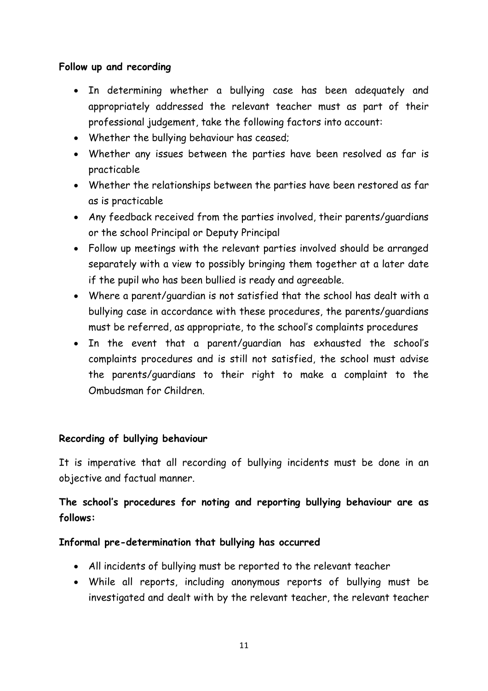### **Follow up and recording**

- In determining whether a bullying case has been adequately and appropriately addressed the relevant teacher must as part of their professional judgement, take the following factors into account:
- Whether the bullying behaviour has ceased;
- Whether any issues between the parties have been resolved as far is practicable
- Whether the relationships between the parties have been restored as far as is practicable
- Any feedback received from the parties involved, their parents/guardians or the school Principal or Deputy Principal
- Follow up meetings with the relevant parties involved should be arranged separately with a view to possibly bringing them together at a later date if the pupil who has been bullied is ready and agreeable.
- Where a parent/guardian is not satisfied that the school has dealt with a bullying case in accordance with these procedures, the parents/guardians must be referred, as appropriate, to the school's complaints procedures
- In the event that a parent/guardian has exhausted the school's complaints procedures and is still not satisfied, the school must advise the parents/guardians to their right to make a complaint to the Ombudsman for Children.

## **Recording of bullying behaviour**

It is imperative that all recording of bullying incidents must be done in an objective and factual manner.

**The school's procedures for noting and reporting bullying behaviour are as follows:**

#### **Informal pre-determination that bullying has occurred**

- All incidents of bullying must be reported to the relevant teacher
- While all reports, including anonymous reports of bullying must be investigated and dealt with by the relevant teacher, the relevant teacher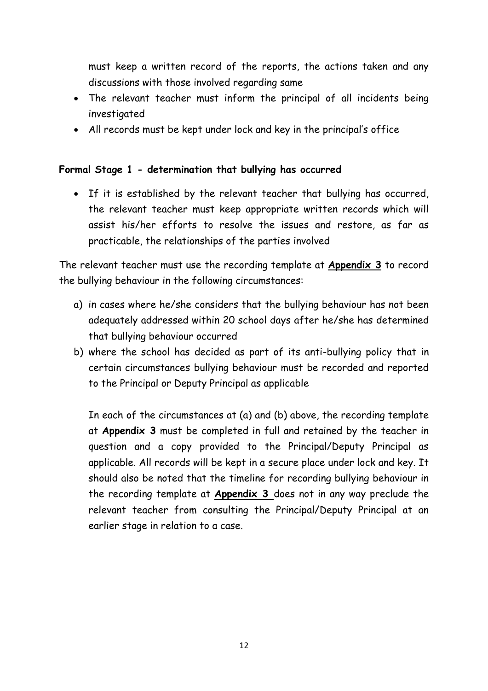must keep a written record of the reports, the actions taken and any discussions with those involved regarding same

- The relevant teacher must inform the principal of all incidents being investigated
- All records must be kept under lock and key in the principal's office

## **Formal Stage 1 - determination that bullying has occurred**

• If it is established by the relevant teacher that bullying has occurred, the relevant teacher must keep appropriate written records which will assist his/her efforts to resolve the issues and restore, as far as practicable, the relationships of the parties involved

The relevant teacher must use the recording template at **Appendix 3** to record the bullying behaviour in the following circumstances:

- a) in cases where he/she considers that the bullying behaviour has not been adequately addressed within 20 school days after he/she has determined that bullying behaviour occurred
- b) where the school has decided as part of its anti-bullying policy that in certain circumstances bullying behaviour must be recorded and reported to the Principal or Deputy Principal as applicable

In each of the circumstances at (a) and (b) above, the recording template at **Appendix 3** must be completed in full and retained by the teacher in question and a copy provided to the Principal/Deputy Principal as applicable. All records will be kept in a secure place under lock and key. It should also be noted that the timeline for recording bullying behaviour in the recording template at **Appendix 3** does not in any way preclude the relevant teacher from consulting the Principal/Deputy Principal at an earlier stage in relation to a case.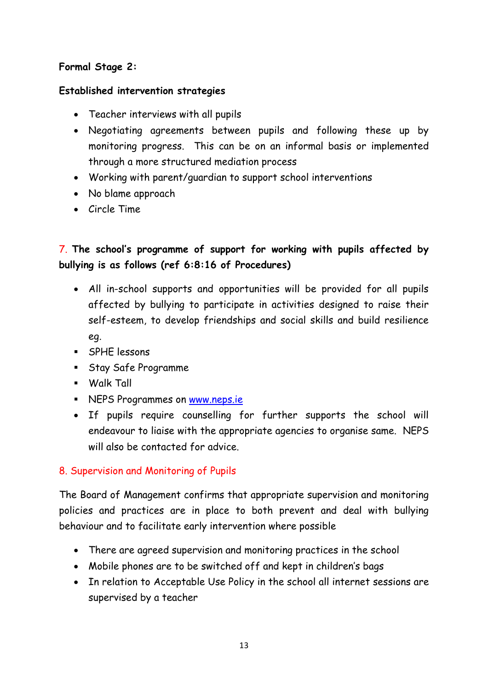## **Formal Stage 2:**

## **Established intervention strategies**

- Teacher interviews with all pupils
- Negotiating agreements between pupils and following these up by monitoring progress. This can be on an informal basis or implemented through a more structured mediation process
- Working with parent/guardian to support school interventions
- No blame approach
- Circle Time

# 7. **The school's programme of support for working with pupils affected by bullying is as follows (ref 6:8:16 of Procedures)**

- All in-school supports and opportunities will be provided for all pupils affected by bullying to participate in activities designed to raise their self-esteem, to develop friendships and social skills and build resilience eg.
- SPHE lessons
- Stay Safe Programme
- Walk Tall
- NEPS Programmes on [www.neps.ie](http://www.neps.ie/)
- If pupils require counselling for further supports the school will endeavour to liaise with the appropriate agencies to organise same. NEPS will also be contacted for advice.

## 8. Supervision and Monitoring of Pupils

The Board of Management confirms that appropriate supervision and monitoring policies and practices are in place to both prevent and deal with bullying behaviour and to facilitate early intervention where possible

- There are agreed supervision and monitoring practices in the school
- Mobile phones are to be switched off and kept in children's bags
- In relation to Acceptable Use Policy in the school all internet sessions are supervised by a teacher